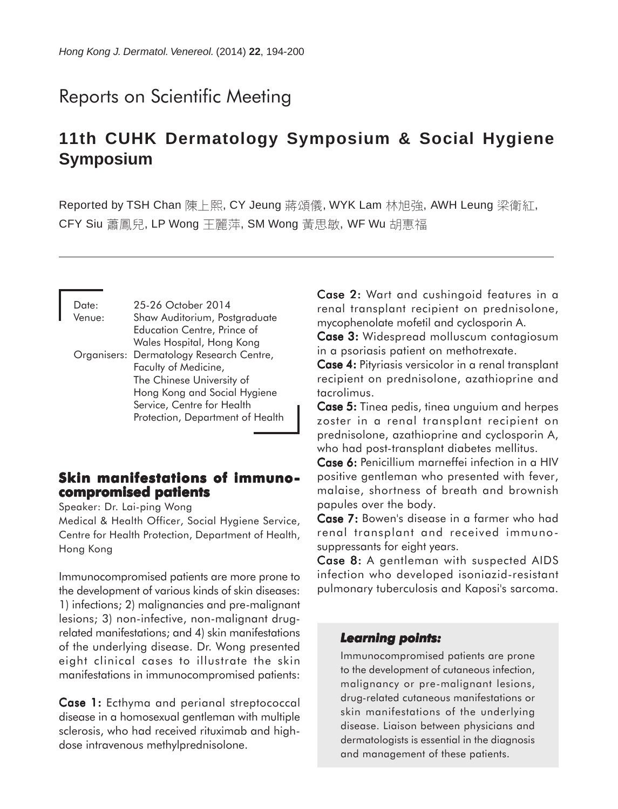# Reports on Scientific Meeting

# **11th CUHK Dermatology Symposium & Social Hygiene Symposium**

Reported by TSH Chan 陳上熙, CY Jeung 蔣頌儀, WYK Lam 林旭強, AWH Leung 梁衛紅, CFY Siu 蕭鳳兒, LP Wong 王麗萍, SM Wong 黃思敏, WF Wu 胡惠福

| Date:  | 25-26 October 2014                       |
|--------|------------------------------------------|
| Venue: | Shaw Auditorium, Postgraduate            |
|        | <b>Education Centre, Prince of</b>       |
|        | Wales Hospital, Hong Kong                |
|        | Organisers: Dermatology Research Centre, |
|        | Faculty of Medicine,                     |
|        | The Chinese University of                |
|        | Hong Kong and Social Hygiene             |
|        | Service, Centre for Health               |
|        | Protection, Department of Health         |

## **Skin manifestations of immunocompromised patients**

Speaker: Dr. Lai-ping Wong

Medical & Health Officer, Social Hygiene Service, Centre for Health Protection, Department of Health, Hong Kong

Immunocompromised patients are more prone to the development of various kinds of skin diseases: 1) infections; 2) malignancies and pre-malignant lesions; 3) non-infective, non-malignant drugrelated manifestations; and 4) skin manifestations of the underlying disease. Dr. Wong presented eight clinical cases to illustrate the skin manifestations in immunocompromised patients:

Case 1: Ecthyma and perianal streptococcal disease in a homosexual gentleman with multiple sclerosis, who had received rituximab and highdose intravenous methylprednisolone.

Case 2: Wart and cushingoid features in a renal transplant recipient on prednisolone, mycophenolate mofetil and cyclosporin A.

Case 3: Widespread molluscum contagiosum in a psoriasis patient on methotrexate.

Case 4: Pityriasis versicolor in a renal transplant recipient on prednisolone, azathioprine and tacrolimus.

Case 5: Tinea pedis, tinea unguium and herpes zoster in a renal transplant recipient on prednisolone, azathioprine and cyclosporin A, who had post-transplant diabetes mellitus.

Case 6: Penicillium marneffei infection in a HIV positive gentleman who presented with fever, malaise, shortness of breath and brownish papules over the body.

Case 7: Bowen's disease in a farmer who had renal transplant and received immunosuppressants for eight years.

Case 8: A gentleman with suspected AIDS infection who developed isoniazid-resistant pulmonary tuberculosis and Kaposi's sarcoma.

#### *Learning points: points:*

Immunocompromised patients are prone to the development of cutaneous infection, malignancy or pre-malignant lesions, drug-related cutaneous manifestations or skin manifestations of the underlying disease. Liaison between physicians and dermatologists is essential in the diagnosis and management of these patients.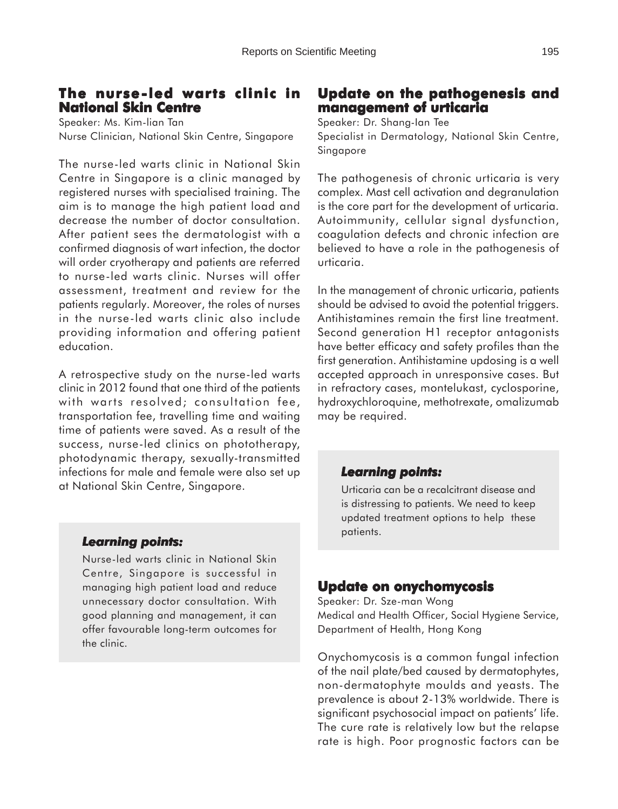# **The nurse-led warts clinic in**

**National Skin Centre** Speaker: Ms. Kim-lian Tan Nurse Clinician, National Skin Centre, Singapore

The nurse-led warts clinic in National Skin Centre in Singapore is a clinic managed by registered nurses with specialised training. The aim is to manage the high patient load and decrease the number of doctor consultation. After patient sees the dermatologist with a confirmed diagnosis of wart infection, the doctor will order cryotherapy and patients are referred to nurse-led warts clinic. Nurses will offer assessment, treatment and review for the patients regularly. Moreover, the roles of nurses in the nurse-led warts clinic also include providing information and offering patient education.

A retrospective study on the nurse-led warts clinic in 2012 found that one third of the patients with warts resolved; consultation fee, transportation fee, travelling time and waiting time of patients were saved. As a result of the success, nurse-led clinics on phototherapy, photodynamic therapy, sexually-transmitted infections for male and female were also set up at National Skin Centre, Singapore.

## **Update on the pathogenesis and management of urticaria**

Speaker: Dr. Shang-Ian Tee Specialist in Dermatology, National Skin Centre, Singapore

The pathogenesis of chronic urticaria is very complex. Mast cell activation and degranulation is the core part for the development of urticaria. Autoimmunity, cellular signal dysfunction, coagulation defects and chronic infection are believed to have a role in the pathogenesis of urticaria.

In the management of chronic urticaria, patients should be advised to avoid the potential triggers. Antihistamines remain the first line treatment. Second generation H1 receptor antagonists have better efficacy and safety profiles than the first generation. Antihistamine updosing is a well accepted approach in unresponsive cases. But in refractory cases, montelukast, cyclosporine, hydroxychloroquine, methotrexate, omalizumab may be required.

## *Learning points: Learning points:*

Urticaria can be a recalcitrant disease and is distressing to patients. We need to keep updated treatment options to help these patients.

#### *Learning points: Learning*

Nurse-led warts clinic in National Skin Centre, Singapore is successful in managing high patient load and reduce unnecessary doctor consultation. With good planning and management, it can offer favourable long-term outcomes for the clinic.

## **Update on onychomycosis**

Speaker: Dr. Sze-man Wong Medical and Health Officer, Social Hygiene Service, Department of Health, Hong Kong

Onychomycosis is a common fungal infection of the nail plate/bed caused by dermatophytes, non-dermatophyte moulds and yeasts. The prevalence is about 2-13% worldwide. There is significant psychosocial impact on patients' life. The cure rate is relatively low but the relapse rate is high. Poor prognostic factors can be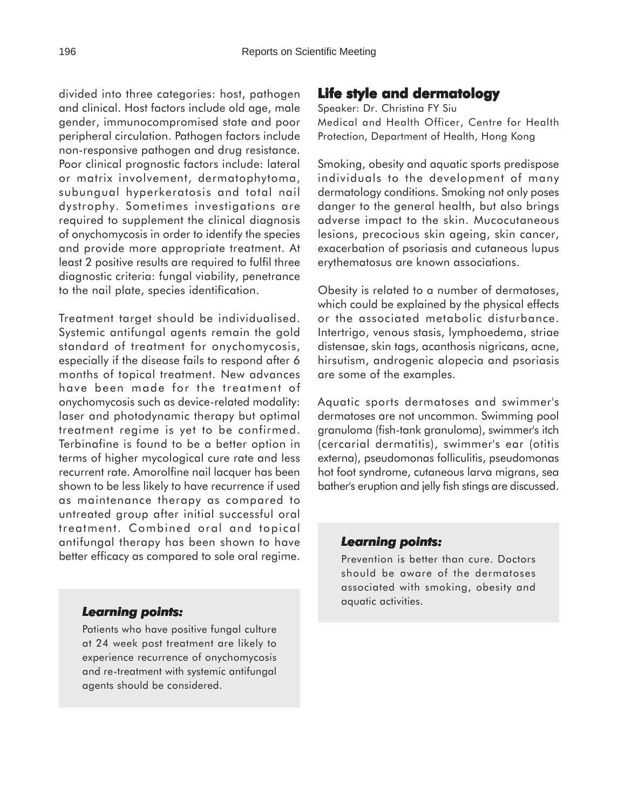divided into three categories: host, pathogen and clinical. Host factors include old age, male gender, immunocompromised state and poor peripheral circulation. Pathogen factors include non-responsive pathogen and drug resistance. Poor clinical prognostic factors include: lateral or matrix involvement, dermatophytoma, subungual hyperkeratosis and total nail dystrophy. Sometimes investigations are required to supplement the clinical diagnosis of onychomycosis in order to identify the species and provide more appropriate treatment. At least 2 positive results are required to fulfil three diagnostic criteria: fungal viability, penetrance to the nail plate, species identification.

Treatment target should be individualised. Systemic antifungal agents remain the gold standard of treatment for onychomycosis, especially if the disease fails to respond after 6 months of topical treatment. New advances have been made for the treatment of onychomycosis such as device-related modality: laser and photodynamic therapy but optimal treatment regime is yet to be confirmed. Terbinafine is found to be a better option in terms of higher mycological cure rate and less recurrent rate. Amorolfine nail lacquer has been shown to be less likely to have recurrence if used as maintenance therapy as compared to untreated group after initial successful oral treatment. Combined oral and topical antifungal therapy has been shown to have better efficacy as compared to sole oral regime.

#### *Learning points: Learning*

Patients who have positive fungal culture at 24 week post treatment are likely to experience recurrence of onychomycosis and re-treatment with systemic antifungal agents should be considered.

## **Life style and dermatology**

Speaker: Dr. Christina FY Siu Medical and Health Officer, Centre for Health Protection, Department of Health, Hong Kong

Smoking, obesity and aquatic sports predispose individuals to the development of many dermatology conditions. Smoking not only poses danger to the general health, but also brings adverse impact to the skin. Mucocutaneous lesions, precocious skin ageing, skin cancer, exacerbation of psoriasis and cutaneous lupus erythematosus are known associations.

Obesity is related to a number of dermatoses, which could be explained by the physical effects or the associated metabolic disturbance. Intertrigo, venous stasis, lymphoedema, striae distensae, skin tags, acanthosis nigricans, acne, hirsutism, androgenic alopecia and psoriasis are some of the examples.

Aquatic sports dermatoses and swimmer's dermatoses are not uncommon. Swimming pool granuloma (fish-tank granuloma), swimmer's itch (cercarial dermatitis), swimmer's ear (otitis externa), pseudomonas folliculitis, pseudomonas hot foot syndrome, cutaneous larva migrans, sea bather's eruption and jelly fish stings are discussed.

#### *Learning points: Learning points:*

Prevention is better than cure. Doctors should be aware of the dermatoses associated with smoking, obesity and aquatic activities.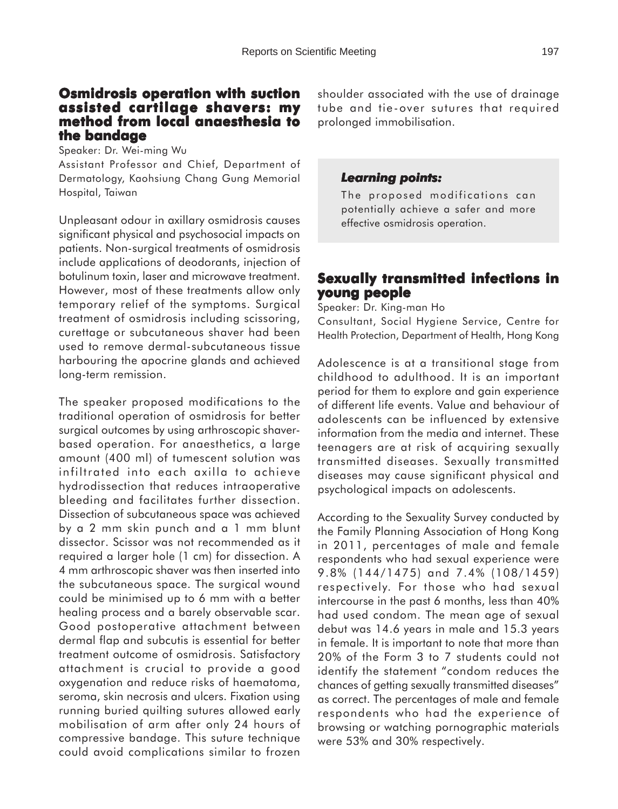#### **Osmidrosis operation with suction assisted cartilage shavers: my method from local anaesthesia to the bandage**

Speaker: Dr. Wei-ming Wu

Assistant Professor and Chief, Department of Dermatology, Kaohsiung Chang Gung Memorial Hospital, Taiwan

Unpleasant odour in axillary osmidrosis causes significant physical and psychosocial impacts on patients. Non-surgical treatments of osmidrosis include applications of deodorants, injection of botulinum toxin, laser and microwave treatment. However, most of these treatments allow only temporary relief of the symptoms. Surgical treatment of osmidrosis including scissoring, curettage or subcutaneous shaver had been used to remove dermal-subcutaneous tissue harbouring the apocrine glands and achieved long-term remission.

The speaker proposed modifications to the traditional operation of osmidrosis for better surgical outcomes by using arthroscopic shaverbased operation. For anaesthetics, a large amount (400 ml) of tumescent solution was infiltrated into each axilla to achieve hydrodissection that reduces intraoperative bleeding and facilitates further dissection. Dissection of subcutaneous space was achieved by a 2 mm skin punch and a 1 mm blunt dissector. Scissor was not recommended as it required a larger hole (1 cm) for dissection. A 4 mm arthroscopic shaver was then inserted into the subcutaneous space. The surgical wound could be minimised up to 6 mm with a better healing process and a barely observable scar. Good postoperative attachment between dermal flap and subcutis is essential for better treatment outcome of osmidrosis. Satisfactory attachment is crucial to provide a good oxygenation and reduce risks of haematoma, seroma, skin necrosis and ulcers. Fixation using running buried quilting sutures allowed early mobilisation of arm after only 24 hours of compressive bandage. This suture technique could avoid complications similar to frozen

shoulder associated with the use of drainage tube and tie-over sutures that required prolonged immobilisation.

#### *Learning points: Learning points:*

The proposed modifications can potentially achieve a safer and more effective osmidrosis operation.

## **Sexually transmitted infections in young people**

Speaker: Dr. King-man Ho

Consultant, Social Hygiene Service, Centre for Health Protection, Department of Health, Hong Kong

Adolescence is at a transitional stage from childhood to adulthood. It is an important period for them to explore and gain experience of different life events. Value and behaviour of adolescents can be influenced by extensive information from the media and internet. These teenagers are at risk of acquiring sexually transmitted diseases. Sexually transmitted diseases may cause significant physical and psychological impacts on adolescents.

According to the Sexuality Survey conducted by the Family Planning Association of Hong Kong in 2011, percentages of male and female respondents who had sexual experience were 9.8% (144/1475) and 7.4% (108/1459) respectively. For those who had sexual intercourse in the past 6 months, less than 40% had used condom. The mean age of sexual debut was 14.6 years in male and 15.3 years in female. It is important to note that more than 20% of the Form 3 to 7 students could not identify the statement "condom reduces the chances of getting sexually transmitted diseases" as correct. The percentages of male and female respondents who had the experience of browsing or watching pornographic materials were 53% and 30% respectively.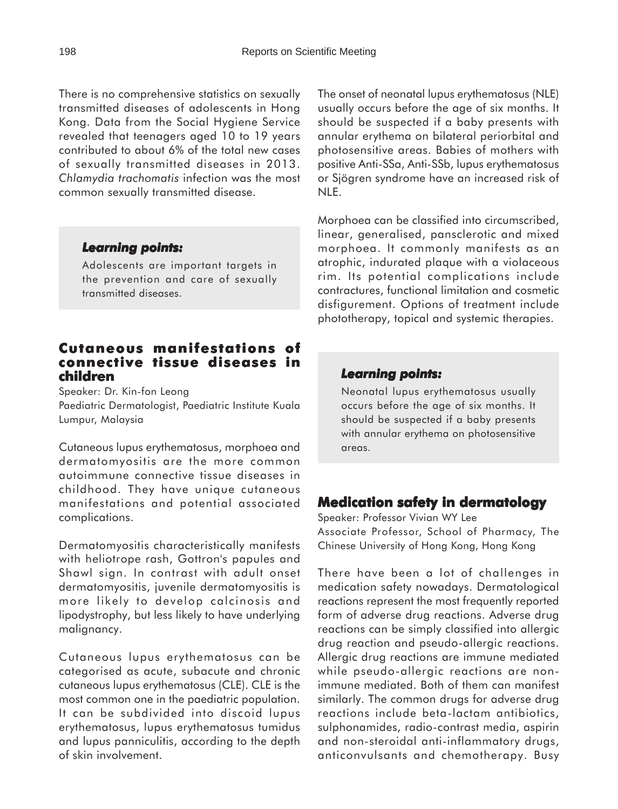There is no comprehensive statistics on sexually transmitted diseases of adolescents in Hong Kong. Data from the Social Hygiene Service revealed that teenagers aged 10 to 19 years contributed to about 6% of the total new cases of sexually transmitted diseases in 2013. *Chlamydia trachomatis* infection was the most common sexually transmitted disease.

#### *Learning points: Learning*

Adolescents are important targets in the prevention and care of sexually transmitted diseases.

## **Cutaneous manifestations of manifestations connective tissue diseases in children**

Speaker: Dr. Kin-fon Leong Paediatric Dermatologist, Paediatric Institute Kuala Lumpur, Malaysia

Cutaneous lupus erythematosus, morphoea and dermatomyositis are the more common autoimmune connective tissue diseases in childhood. They have unique cutaneous manifestations and potential associated complications.

Dermatomyositis characteristically manifests with heliotrope rash, Gottron's papules and Shawl sign. In contrast with adult onset dermatomyositis, juvenile dermatomyositis is more likely to develop calcinosis and lipodystrophy, but less likely to have underlying malignancy.

Cutaneous lupus erythematosus can be categorised as acute, subacute and chronic cutaneous lupus erythematosus (CLE). CLE is the most common one in the paediatric population. It can be subdivided into discoid lupus erythematosus, lupus erythematosus tumidus and lupus panniculitis, according to the depth of skin involvement.

The onset of neonatal lupus erythematosus (NLE) usually occurs before the age of six months. It should be suspected if a baby presents with annular erythema on bilateral periorbital and photosensitive areas. Babies of mothers with positive Anti-SSa, Anti-SSb, lupus erythematosus or Sjögren syndrome have an increased risk of NLE.

Morphoea can be classified into circumscribed, linear, generalised, pansclerotic and mixed morphoea. It commonly manifests as an atrophic, indurated plaque with a violaceous rim. Its potential complications include contractures, functional limitation and cosmetic disfigurement. Options of treatment include phototherapy, topical and systemic therapies.

#### *Learning points: Learning points:*

Neonatal lupus erythematosus usually occurs before the age of six months. It should be suspected if a baby presents with annular erythema on photosensitive areas.

## **Medication safety in dermatology**

Speaker: Professor Vivian WY Lee Associate Professor, School of Pharmacy, The Chinese University of Hong Kong, Hong Kong

There have been a lot of challenges in medication safety nowadays. Dermatological reactions represent the most frequently reported form of adverse drug reactions. Adverse drug reactions can be simply classified into allergic drug reaction and pseudo-allergic reactions. Allergic drug reactions are immune mediated while pseudo-allergic reactions are nonimmune mediated. Both of them can manifest similarly. The common drugs for adverse drug reactions include beta-lactam antibiotics, sulphonamides, radio-contrast media, aspirin and non-steroidal anti-inflammatory drugs, anticonvulsants and chemotherapy. Busy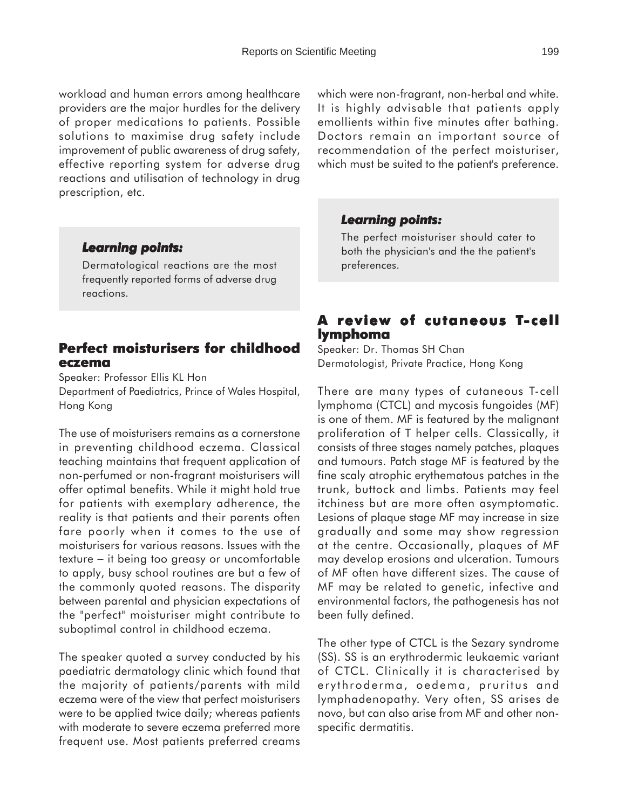workload and human errors among healthcare providers are the major hurdles for the delivery of proper medications to patients. Possible solutions to maximise drug safety include improvement of public awareness of drug safety, effective reporting system for adverse drug reactions and utilisation of technology in drug prescription, etc.

#### *Learning points: Learning*

Dermatological reactions are the most frequently reported forms of adverse drug reactions.

#### **Perfect moisturisers for childhood eczema**

Speaker: Professor Ellis KL Hon Department of Paediatrics, Prince of Wales Hospital, Hong Kong

The use of moisturisers remains as a cornerstone in preventing childhood eczema. Classical teaching maintains that frequent application of non-perfumed or non-fragrant moisturisers will offer optimal benefits. While it might hold true for patients with exemplary adherence, the reality is that patients and their parents often fare poorly when it comes to the use of moisturisers for various reasons. Issues with the texture − it being too greasy or uncomfortable to apply, busy school routines are but a few of the commonly quoted reasons. The disparity between parental and physician expectations of the "perfect" moisturiser might contribute to suboptimal control in childhood eczema.

The speaker quoted a survey conducted by his paediatric dermatology clinic which found that the majority of patients/parents with mild eczema were of the view that perfect moisturisers were to be applied twice daily; whereas patients with moderate to severe eczema preferred more frequent use. Most patients preferred creams which were non-fragrant, non-herbal and white. It is highly advisable that patients apply emollients within five minutes after bathing. Doctors remain an important source of recommendation of the perfect moisturiser, which must be suited to the patient's preference.

#### *Learning points: Learning points:*

The perfect moisturiser should cater to both the physician's and the the patient's preferences.

#### **A review of cutaneous T-cell lymphoma**

Speaker: Dr. Thomas SH Chan Dermatologist, Private Practice, Hong Kong

There are many types of cutaneous T-cell lymphoma (CTCL) and mycosis fungoides (MF) is one of them. MF is featured by the malignant proliferation of T helper cells. Classically, it consists of three stages namely patches, plaques and tumours. Patch stage MF is featured by the fine scaly atrophic erythematous patches in the trunk, buttock and limbs. Patients may feel itchiness but are more often asymptomatic. Lesions of plaque stage MF may increase in size gradually and some may show regression at the centre. Occasionally, plaques of MF may develop erosions and ulceration. Tumours of MF often have different sizes. The cause of MF may be related to genetic, infective and environmental factors, the pathogenesis has not been fully defined.

The other type of CTCL is the Sezary syndrome (SS). SS is an erythrodermic leukaemic variant of CTCL. Clinically it is characterised by erythroderma, oedema, pruritus and lymphadenopathy. Very often, SS arises de novo, but can also arise from MF and other nonspecific dermatitis.